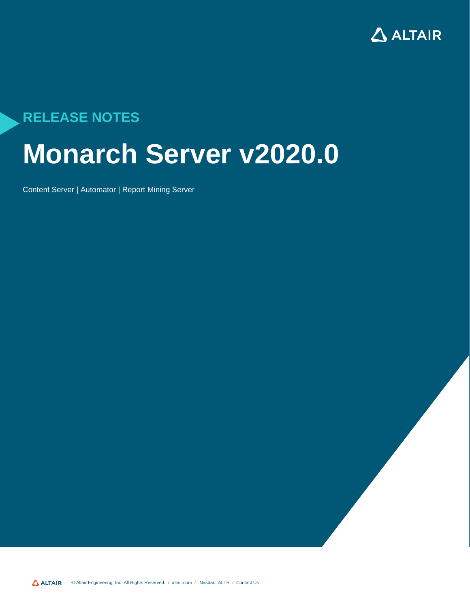

# **RELEASE NOTES**

# **Monarch Server v2020.0**

Content Server | Automator | Report Mining Server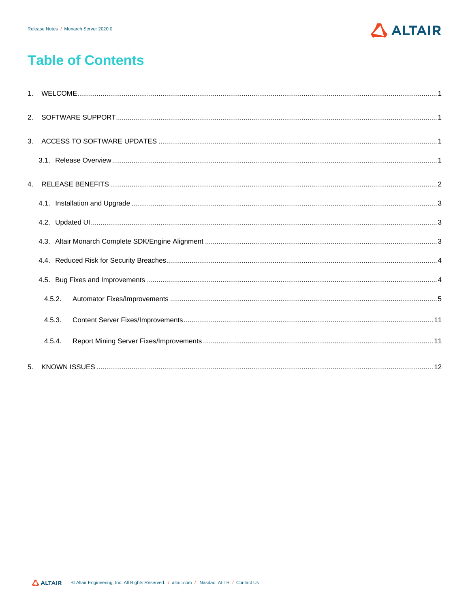

# **Table of Contents**

| 4.5.2. |  |
|--------|--|
| 4.5.3. |  |
| 4.5.4. |  |
|        |  |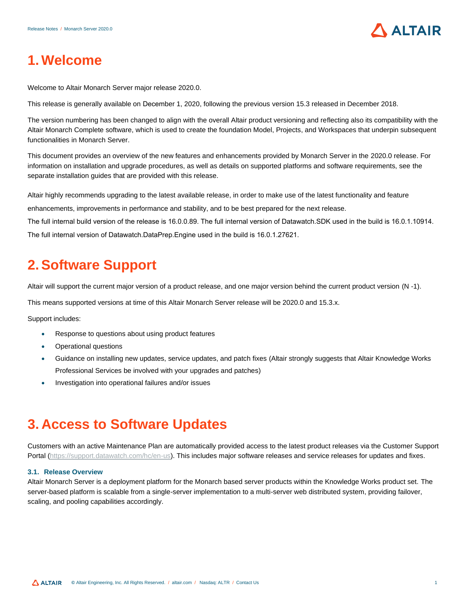

# <span id="page-2-0"></span>**1. Welcome**

Welcome to Altair Monarch Server major release 2020.0.

This release is generally available on December 1, 2020, following the previous version 15.3 released in December 2018.

The version numbering has been changed to align with the overall Altair product versioning and reflecting also its compatibility with the Altair Monarch Complete software, which is used to create the foundation Model, Projects, and Workspaces that underpin subsequent functionalities in Monarch Server.

This document provides an overview of the new features and enhancements provided by Monarch Server in the 2020.0 release. For information on installation and upgrade procedures, as well as details on supported platforms and software requirements, see the separate installation guides that are provided with this release.

Altair highly recommends upgrading to the latest available release, in order to make use of the latest functionality and feature enhancements, improvements in performance and stability, and to be best prepared for the next release.

<span id="page-2-1"></span>The full internal build version of the release is 16.0.0.89. The full internal version of Datawatch.SDK used in the build is 16.0.1.10914. The full internal version of Datawatch.DataPrep.Engine used in the build is 16.0.1.27621.

**2.Software Support**

### Altair will support the current major version of a product release, and one major version behind the current product version (N -1).

This means supported versions at time of this Altair Monarch Server release will be 2020.0 and 15.3.x.

Support includes:

- Response to questions about using product features
- Operational questions
- Guidance on installing new updates, service updates, and patch fixes (Altair strongly suggests that Altair Knowledge Works Professional Services be involved with your upgrades and patches)
- <span id="page-2-2"></span>• Investigation into operational failures and/or issues

# **3. [Access to Software](https://support.datawatch.com/hc/en-us) Updates**

<span id="page-2-3"></span>Customers with an active Maintenance Plan are automatically provided access to the latest product releases via the Customer Support Portal (https://support.datawatch.com/hc/en-us). This includes major software releases and service releases for updates and fixes.

#### **3.1. Release Overview**

Altair Monarch Server is a deployment platform for the Monarch based server products within the Knowledge Works product set. The server-based platform is scalable from a single-server implementation to a multi-server web distributed system, providing failover, scaling, and pooling capabilities accordingly.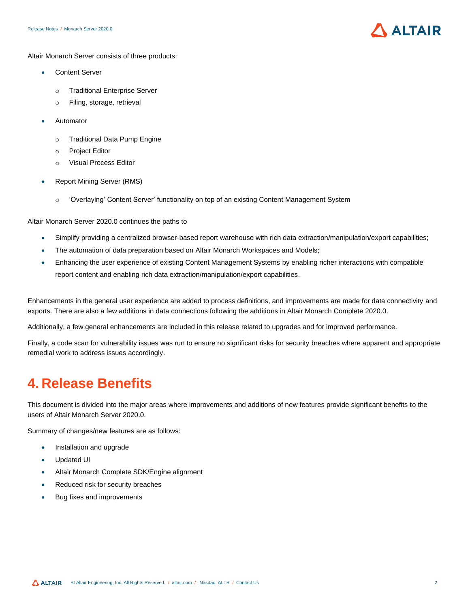

Altair Monarch Server consists of three products:

- Content Server
	- o Traditional Enterprise Server
	- o Filing, storage, retrieval
- **Automator** 
	- o Traditional Data Pump Engine
	- o Project Editor
	- o Visual Process Editor
- Report Mining Server (RMS)
	- o 'Overlaying' Content Server' functionality on top of an existing Content Management System

Altair Monarch Server 2020.0 continues the paths to

- Simplify providing a centralized browser-based report warehouse with rich data extraction/manipulation/export capabilities;
- The automation of data preparation based on Altair Monarch Workspaces and Models;
- Enhancing the user experience of existing Content Management Systems by enabling richer interactions with compatible report content and enabling rich data extraction/manipulation/export capabilities.

Enhancements in the general user experience are added to process definitions, and improvements are made for data connectivity and exports. There are also a few additions in data connections following the additions in Altair Monarch Complete 2020.0.

Additionally, a few general enhancements are included in this release related to upgrades and for improved performance.

Finally, a code scan for vulnerability issues was run to ensure no significant risks for security breaches where apparent and appropriate remedial work to address issues accordingly.

### <span id="page-3-0"></span>**4. Release Benefits**

This document is divided into the major areas where improvements and additions of new features provide significant benefits to the users of Altair Monarch Server 2020.0.

Summary of changes/new features are as follows:

- Installation and upgrade
- Updated UI
- Altair Monarch Complete SDK/Engine alignment
- Reduced risk for security breaches
- Bug fixes and improvements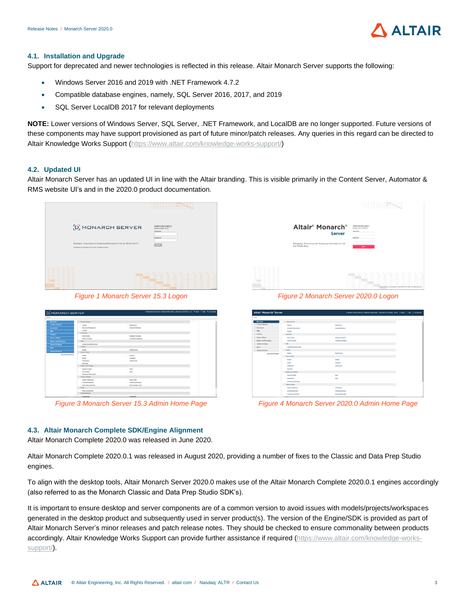

#### <span id="page-4-0"></span>**4.1. Installation and Upgrade**

Support for deprecated and newer technologies is reflected in this release. Altair Monarch Server supports the following:

- Windows Server 2016 and 2019 with .NET Framework 4.7.2
- Compatible database engines, namely, SQL Server 2016, 2017, and 2019
- SQL Server LocalDB 2017 for relevant deployments

**NOTE:** Lower versions of Windows Server, SQL Server, .NET Framework, and LocalDB are no longer supported. Future versions of these components may have support provisioned as part of future minor/patch releases. Any queries in this regard can be directed to Altair Knowledge Works Support [\(https://www.altair.com/knowledge-works-support/\)](https://www.altair.com/knowledge-works-support/)

#### <span id="page-4-1"></span>**4.2. Updated UI**

Altair Monarch Server has an updated UI in line with the Altair branding. This is visible primarily in the Content Server, Automator & RMS website UI's and in the 2020.0 product documentation.

| [D] MONARCH SERVER<br>Managing, Consuming and Analyzing Information to Get the Whole Story <sup>ne</sup><br>@ Datawatch Corporation 2010-2019. All rights reserved. |  |  |                          | <b>BEREIT</b><br>Administration<br>Monarch Server 15.3.9 |                  |                                        |                                       |                                                                              |     |          |
|---------------------------------------------------------------------------------------------------------------------------------------------------------------------|--|--|--------------------------|----------------------------------------------------------|------------------|----------------------------------------|---------------------------------------|------------------------------------------------------------------------------|-----|----------|
|                                                                                                                                                                     |  |  | <b>Color</b><br>$\equiv$ | $\sim$<br>÷<br>$\overline{\phantom{a}}$                  | $\sim$<br>÷<br>÷ | <b>Service</b><br>÷<br>$\equiv$<br>$=$ | ۰<br>$\frac{1}{2}$<br>$\equiv$<br>$=$ | -<br>$\frac{1}{2}$<br>$\overline{ }$<br>$\equiv$<br>$\overline{\phantom{a}}$ | $=$ | 95.3.6.2 |

*Figure 1 Monarch Server 15.3 Logon Figure 2 Monarch Server 2020.0 Logon*

| <b>D</b> MONARCH SERVER      |                               |                          |  |  |
|------------------------------|-------------------------------|--------------------------|--|--|
| <b>Hame</b>                  |                               |                          |  |  |
| <b>My Home</b>               | <b>Contest System</b>         |                          |  |  |
| <b>Content System</b>        | · Shown                       | - Maintenance            |  |  |
| Astoriator                   | · Document Management         | - Document Rebleval      |  |  |
| <b>RMS</b>                   | · Transfer                    |                          |  |  |
| Portlets                     | Astronator                    |                          |  |  |
|                              | 1 Sanner Status               | - Standard Processes     |  |  |
| <b>Sorver Library</b>        | 1 Visual Processes            | · Connection Definitions |  |  |
| <b>Rights and Privileges</b> | <b>RMS</b>                    |                          |  |  |
| <b>System Settings</b>       | · Content Recognition Parks   |                          |  |  |
| <b>News</b>                  | <b>Portland</b>               |                          |  |  |
| <b>System Reports</b>        | · Potters                     | - Portlet Groups         |  |  |
| Hills advanced salicits      | Servor Library                |                          |  |  |
|                              | · Estima                      | - Freeds                 |  |  |
|                              | $-$ Madels                    | - Innatatos              |  |  |
|                              | · Hollands                    | - Change Lists           |  |  |
|                              | 1 Exit Edits                  |                          |  |  |
|                              | <b>Digitis and Privileges</b> |                          |  |  |
|                              | · Decority Provider           | - Roles                  |  |  |
|                              | · Line Streets                | $-$ 13465                |  |  |
|                              | . Document State Groups       |                          |  |  |
|                              | System Seklega                |                          |  |  |
|                              | · System Preferences          | · Vital/Palta            |  |  |
|                              | . Locale Management           | · These Management       |  |  |
|                              | · Ensencess Converters        | . EuR. Schedules, Edito  |  |  |
|                              | Nown.                         |                          |  |  |
|                              | · Nova management             |                          |  |  |
|                              | <b>System Reports</b>         |                          |  |  |

*Figure 3 Monarch Server 15.3 Admin Home Page Figure 4 Monarch Server 2020.0 Admin Home Page*

|        | <b>Tilling St</b>                                                       |                   |                                                                  |               |             |             |             |               |             |                         |                                                                        |                 |             |
|--------|-------------------------------------------------------------------------|-------------------|------------------------------------------------------------------|---------------|-------------|-------------|-------------|---------------|-------------|-------------------------|------------------------------------------------------------------------|-----------------|-------------|
|        | Altair <sup>®</sup> Monarch <sup>®</sup><br><b>Server</b>               |                   | Administration<br>Manasch Server 2020 RC1<br>Usemana<br>Pessenge |               |             |             |             |               |             |                         |                                                                        |                 |             |
|        | Managing, Consuming and Analyzing Information to Get<br>the Whole Story |                   |                                                                  | <b>San In</b> |             |             |             |               |             |                         |                                                                        |                 |             |
|        |                                                                         | $\sim$            | $\sim$<br>×                                                      | $\sim$<br>π   | $\sim$<br>÷ | $\sim$<br>π | $\sim$<br>π | $\sim$<br>π   | $\sim$<br>π | $\sim$<br>$\frac{1}{2}$ | $\sim$<br>π                                                            | ÷<br>Ξ          | $\sim$<br>š |
| ۰      | $\sim$                                                                  |                   |                                                                  | m             | π           | ÷           | $\equiv$    | $\equiv$      | m           | $\frac{1}{2}$           | m                                                                      | 面               | š           |
| ż      | $\sim$                                                                  |                   |                                                                  |               | π           | Ξ<br>Ξ      | Ξ           | $\frac{1}{2}$ | π           | $\frac{1}{2}$           | π<br>Ξ                                                                 | ÷               | ŧ           |
| ۰      | $\sim$<br>$\sim$                                                        | Ξ<br>$\mathbb{R}$ |                                                                  | <b>TEL</b>    |             |             | ۰           | Ξ             | Ξ           | Ξ                       |                                                                        | ×<br><b>COL</b> |             |
| ÷<br>÷ |                                                                         |                   |                                                                  |               |             |             |             |               |             |                         | venion 2820 0   0 Datavatch Corporation 2019-2029. An rights received. |                 |             |

| Altair <sup>®</sup> Monarch <sup>®</sup> Server |                                      | J. Manach Serve 2020 RCI - Welcome Administrator - Login time 12:23 40798 - 2020 8 - 12 About - 11 Help - 0- End Services |  |
|-------------------------------------------------|--------------------------------------|---------------------------------------------------------------------------------------------------------------------------|--|
| Hotel                                           |                                      |                                                                                                                           |  |
| My Home                                         | <b>Contest System</b>                |                                                                                                                           |  |
| . Content System                                | 2009                                 | <b>Mander and</b>                                                                                                         |  |
| » Automator                                     | <b>Document Management</b>           | Document Fellowid                                                                                                         |  |
| $-8MS$                                          | <b>Taxable</b>                       |                                                                                                                           |  |
| » Portiers                                      | Automator                            |                                                                                                                           |  |
| . Server Library                                | Sener Stetes                         | <b>Standard Processes</b>                                                                                                 |  |
| . Rights and Privileges                         | <b><i><u>COLACTY CORRESS</u></i></b> | Connection Definitions                                                                                                    |  |
| . System Senings                                | mars.                                |                                                                                                                           |  |
| » News                                          | Contest Recordion Rules              |                                                                                                                           |  |
| . System Reports                                | <b>Portich</b>                       |                                                                                                                           |  |
| <b>1944 Advanced Astors</b>                     | <b>Public</b>                        | Portel Orauca                                                                                                             |  |
|                                                 | Server Library                       |                                                                                                                           |  |
|                                                 | Estern                               | <b>Projects</b>                                                                                                           |  |
|                                                 | Models                               | Services                                                                                                                  |  |
|                                                 | <b>Workstaces</b>                    | Change Lisb                                                                                                               |  |
|                                                 | <b>bates</b>                         |                                                                                                                           |  |
|                                                 | <b>Rights and Privileges</b>         |                                                                                                                           |  |
|                                                 | Security Provider                    | Solen                                                                                                                     |  |
|                                                 | <b>VAN SIGMA</b>                     | 33443                                                                                                                     |  |
|                                                 | <b>Coursest State Groups</b>         |                                                                                                                           |  |
|                                                 | System Settings                      |                                                                                                                           |  |
|                                                 | <b>System Preferences</b>            | <b>Virtual Partia</b>                                                                                                     |  |
|                                                 | <b>Lacan Matagement</b>              | Theme Massownerd                                                                                                          |  |
|                                                 | Pumpung Constitute                   | <b>Bulk Schedules Edito</b>                                                                                               |  |
|                                                 | the control                          |                                                                                                                           |  |

### <span id="page-4-2"></span>**4.3. Altair Monarch Complete SDK/Engine Alignment**

Altair Monarch Complete 2020.0 was released in June 2020.

Altair Monarch Complete 2020.0.1 was released in August 2020, providing a number of fixes to the Classic and Data Prep Studio engines.

To align with the desktop tools, Altair Monarch Server 2020.0 makes use of the Altair Monarch Complete 2020.0.1 engines accordingly (also referred to as the Monarch Classic and Data Prep Studio SDK's).

It is important to ensure desktop and server components are of a common version to avoid issues with models/projects/workspaces generated in the desktop product and subsequently used in server product(s). The version of the Engine/SDK is provided as part of Altair Monarch Server's minor releases and patch release notes. They should be checked to ensure commonality between products accordingly. Altair Knowledge Works Support can provide further assistance if required [\(https://www.altair.com/knowledge-works](https://www.altair.com/knowledge-works-support/)[support/\)](https://www.altair.com/knowledge-works-support/).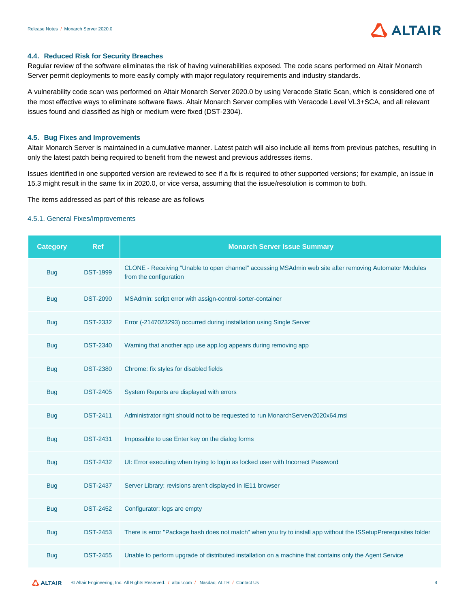

#### <span id="page-5-0"></span>**4.4. Reduced Risk for Security Breaches**

Regular review of the software eliminates the risk of having vulnerabilities exposed. The code scans performed on Altair Monarch Server permit deployments to more easily comply with major regulatory requirements and industry standards.

A vulnerability code scan was performed on Altair Monarch Server 2020.0 by using Veracode Static Scan, which is considered one of the most effective ways to eliminate software flaws. Altair Monarch Server complies with Veracode Level VL3+SCA, and all relevant issues found and classified as high or medium were fixed (DST-2304).

#### <span id="page-5-1"></span>**4.5. Bug Fixes and Improvements**

Altair Monarch Server is maintained in a cumulative manner. Latest patch will also include all items from previous patches, resulting in only the latest patch being required to benefit from the newest and previous addresses items.

Issues identified in one supported version are reviewed to see if a fix is required to other supported versions; for example, an issue in 15.3 might result in the same fix in 2020.0, or vice versa, assuming that the issue/resolution is common to both.

The items addressed as part of this release are as follows

#### 4.5.1. General Fixes/Improvements

| <b>Category</b> | <b>Ref</b>      | <b>Monarch Server Issue Summary</b>                                                                                              |
|-----------------|-----------------|----------------------------------------------------------------------------------------------------------------------------------|
| <b>Bug</b>      | <b>DST-1999</b> | CLONE - Receiving "Unable to open channel" accessing MSAdmin web site after removing Automator Modules<br>from the configuration |
| <b>Bug</b>      | <b>DST-2090</b> | MSAdmin: script error with assign-control-sorter-container                                                                       |
| <b>Bug</b>      | <b>DST-2332</b> | Error (-2147023293) occurred during installation using Single Server                                                             |
| <b>Bug</b>      | <b>DST-2340</b> | Warning that another app use app.log appears during removing app                                                                 |
| <b>Bug</b>      | <b>DST-2380</b> | Chrome: fix styles for disabled fields                                                                                           |
| <b>Bug</b>      | <b>DST-2405</b> | System Reports are displayed with errors                                                                                         |
| <b>Bug</b>      | <b>DST-2411</b> | Administrator right should not to be requested to run MonarchServerv2020x64.msi                                                  |
| <b>Bug</b>      | <b>DST-2431</b> | Impossible to use Enter key on the dialog forms                                                                                  |
| <b>Bug</b>      | <b>DST-2432</b> | UI: Error executing when trying to login as locked user with Incorrect Password                                                  |
| <b>Bug</b>      | <b>DST-2437</b> | Server Library: revisions aren't displayed in IE11 browser                                                                       |
| <b>Bug</b>      | <b>DST-2452</b> | Configurator: logs are empty                                                                                                     |
| <b>Bug</b>      | <b>DST-2453</b> | There is error "Package hash does not match" when you try to install app without the ISSetupPrerequisites folder                 |
| <b>Bug</b>      | <b>DST-2455</b> | Unable to perform upgrade of distributed installation on a machine that contains only the Agent Service                          |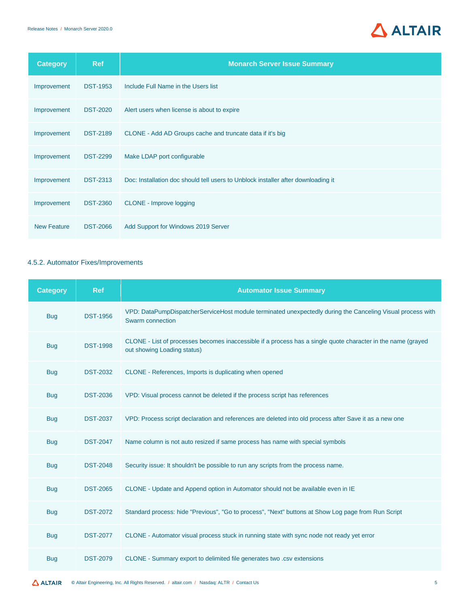

| <b>Category</b>    | <b>Ref</b>      | <b>Monarch Server Issue Summary</b>                                               |
|--------------------|-----------------|-----------------------------------------------------------------------------------|
| Improvement        | <b>DST-1953</b> | Include Full Name in the Users list                                               |
| Improvement        | <b>DST-2020</b> | Alert users when license is about to expire                                       |
| Improvement        | <b>DST-2189</b> | CLONE - Add AD Groups cache and truncate data if it's big                         |
| Improvement        | <b>DST-2299</b> | Make LDAP port configurable                                                       |
| Improvement        | <b>DST-2313</b> | Doc: Installation doc should tell users to Unblock installer after downloading it |
| Improvement        | <b>DST-2360</b> | <b>CLONE</b> - Improve logging                                                    |
| <b>New Feature</b> | <b>DST-2066</b> | Add Support for Windows 2019 Server                                               |

### <span id="page-6-0"></span>4.5.2. Automator Fixes/Improvements

| <b>Category</b> | <b>Ref</b>      | <b>Automator Issue Summary</b>                                                                                                              |
|-----------------|-----------------|---------------------------------------------------------------------------------------------------------------------------------------------|
| <b>Bug</b>      | <b>DST-1956</b> | VPD: DataPumpDispatcherServiceHost module terminated unexpectedly during the Canceling Visual process with<br>Swarm connection              |
| <b>Bug</b>      | <b>DST-1998</b> | CLONE - List of processes becomes inaccessible if a process has a single quote character in the name (grayed<br>out showing Loading status) |
| <b>Bug</b>      | <b>DST-2032</b> | CLONE - References, Imports is duplicating when opened                                                                                      |
| <b>Bug</b>      | <b>DST-2036</b> | VPD: Visual process cannot be deleted if the process script has references                                                                  |
| <b>Bug</b>      | <b>DST-2037</b> | VPD: Process script declaration and references are deleted into old process after Save it as a new one                                      |
| <b>Bug</b>      | <b>DST-2047</b> | Name column is not auto resized if same process has name with special symbols                                                               |
| <b>Bug</b>      | <b>DST-2048</b> | Security issue: It shouldn't be possible to run any scripts from the process name.                                                          |
| <b>Bug</b>      | <b>DST-2065</b> | CLONE - Update and Append option in Automator should not be available even in IE                                                            |
| <b>Bug</b>      | <b>DST-2072</b> | Standard process: hide "Previous", "Go to process", "Next" buttons at Show Log page from Run Script                                         |
| <b>Bug</b>      | <b>DST-2077</b> | CLONE - Automator visual process stuck in running state with sync node not ready yet error                                                  |
| <b>Bug</b>      | <b>DST-2079</b> | CLONE - Summary export to delimited file generates two .csv extensions                                                                      |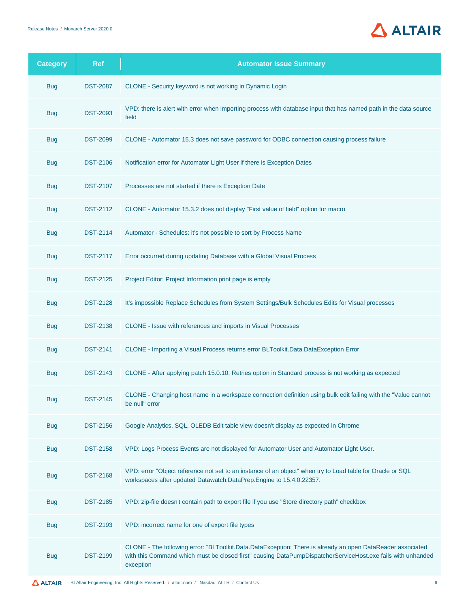

| <b>Category</b> | <b>Ref</b>      | <b>Automator Issue Summary</b>                                                                                                                                                                                                         |
|-----------------|-----------------|----------------------------------------------------------------------------------------------------------------------------------------------------------------------------------------------------------------------------------------|
| <b>Bug</b>      | <b>DST-2087</b> | CLONE - Security keyword is not working in Dynamic Login                                                                                                                                                                               |
| <b>Bug</b>      | <b>DST-2093</b> | VPD: there is alert with error when importing process with database input that has named path in the data source<br>field                                                                                                              |
| <b>Bug</b>      | <b>DST-2099</b> | CLONE - Automator 15.3 does not save password for ODBC connection causing process failure                                                                                                                                              |
| <b>Bug</b>      | <b>DST-2106</b> | Notification error for Automator Light User if there is Exception Dates                                                                                                                                                                |
| <b>Bug</b>      | <b>DST-2107</b> | Processes are not started if there is Exception Date                                                                                                                                                                                   |
| <b>Bug</b>      | <b>DST-2112</b> | CLONE - Automator 15.3.2 does not display "First value of field" option for macro                                                                                                                                                      |
| <b>Bug</b>      | <b>DST-2114</b> | Automator - Schedules: it's not possible to sort by Process Name                                                                                                                                                                       |
| <b>Bug</b>      | <b>DST-2117</b> | Error occurred during updating Database with a Global Visual Process                                                                                                                                                                   |
| <b>Bug</b>      | <b>DST-2125</b> | Project Editor: Project Information print page is empty                                                                                                                                                                                |
| <b>Bug</b>      | <b>DST-2128</b> | It's impossible Replace Schedules from System Settings/Bulk Schedules Edits for Visual processes                                                                                                                                       |
| <b>Bug</b>      | <b>DST-2138</b> | CLONE - Issue with references and imports in Visual Processes                                                                                                                                                                          |
| <b>Bug</b>      | <b>DST-2141</b> | CLONE - Importing a Visual Process returns error BLToolkit.Data.DataException Error                                                                                                                                                    |
| <b>Bug</b>      | <b>DST-2143</b> | CLONE - After applying patch 15.0.10, Retries option in Standard process is not working as expected                                                                                                                                    |
| <b>Bug</b>      | <b>DST-2145</b> | CLONE - Changing host name in a workspace connection definition using bulk edit failing with the "Value cannot<br>be null" error                                                                                                       |
| <b>Bug</b>      | <b>DST-2156</b> | Google Analytics, SQL, OLEDB Edit table view doesn't display as expected in Chrome                                                                                                                                                     |
| <b>Bug</b>      | <b>DST-2158</b> | VPD: Logs Process Events are not displayed for Automator User and Automator Light User.                                                                                                                                                |
| <b>Bug</b>      | <b>DST-2168</b> | VPD: error "Object reference not set to an instance of an object" when try to Load table for Oracle or SQL<br>workspaces after updated Datawatch.DataPrep.Engine to 15.4.0.22357.                                                      |
| <b>Bug</b>      | <b>DST-2185</b> | VPD: zip-file doesn't contain path to export file if you use "Store directory path" checkbox                                                                                                                                           |
| <b>Bug</b>      | <b>DST-2193</b> | VPD: incorrect name for one of export file types                                                                                                                                                                                       |
| <b>Bug</b>      | <b>DST-2199</b> | CLONE - The following error: "BLToolkit.Data.DataException: There is already an open DataReader associated<br>with this Command which must be closed first" causing DataPumpDispatcherServiceHost.exe fails with unhanded<br>exception |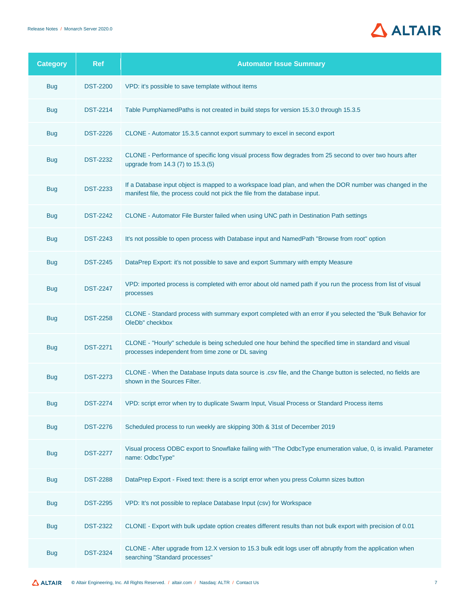

| <b>Category</b> | <b>Ref</b>      | <b>Automator Issue Summary</b>                                                                                                                                                           |
|-----------------|-----------------|------------------------------------------------------------------------------------------------------------------------------------------------------------------------------------------|
| <b>Bug</b>      | <b>DST-2200</b> | VPD: it's possible to save template without items                                                                                                                                        |
| <b>Bug</b>      | <b>DST-2214</b> | Table PumpNamedPaths is not created in build steps for version 15.3.0 through 15.3.5                                                                                                     |
| <b>Bug</b>      | <b>DST-2226</b> | CLONE - Automator 15.3.5 cannot export summary to excel in second export                                                                                                                 |
| <b>Bug</b>      | <b>DST-2232</b> | CLONE - Performance of specific long visual process flow degrades from 25 second to over two hours after<br>upgrade from 14.3 (7) to 15.3.(5)                                            |
| <b>Bug</b>      | <b>DST-2233</b> | If a Database input object is mapped to a workspace load plan, and when the DOR number was changed in the<br>manifest file, the process could not pick the file from the database input. |
| <b>Bug</b>      | <b>DST-2242</b> | CLONE - Automator File Burster failed when using UNC path in Destination Path settings                                                                                                   |
| <b>Bug</b>      | <b>DST-2243</b> | It's not possible to open process with Database input and NamedPath "Browse from root" option                                                                                            |
| <b>Bug</b>      | <b>DST-2245</b> | DataPrep Export: it's not possible to save and export Summary with empty Measure                                                                                                         |
| <b>Bug</b>      | <b>DST-2247</b> | VPD: imported process is completed with error about old named path if you run the process from list of visual<br>processes                                                               |
| <b>Bug</b>      | <b>DST-2258</b> | CLONE - Standard process with summary export completed with an error if you selected the "Bulk Behavior for<br>OleDb" checkbox                                                           |
| <b>Bug</b>      | <b>DST-2271</b> | CLONE - "Hourly" schedule is being scheduled one hour behind the specified time in standard and visual<br>processes independent from time zone or DL saving                              |
| <b>Bug</b>      | <b>DST-2273</b> | CLONE - When the Database Inputs data source is .csv file, and the Change button is selected, no fields are<br>shown in the Sources Filter.                                              |
| <b>Bug</b>      | <b>DST-2274</b> | VPD: script error when try to duplicate Swarm Input, Visual Process or Standard Process items                                                                                            |
| <b>Bug</b>      | <b>DST-2276</b> | Scheduled process to run weekly are skipping 30th & 31st of December 2019                                                                                                                |
| <b>Bug</b>      | <b>DST-2277</b> | Visual process ODBC export to Snowflake failing with "The OdbcType enumeration value, 0, is invalid. Parameter<br>name: OdbcType"                                                        |
| <b>Bug</b>      | <b>DST-2288</b> | DataPrep Export - Fixed text: there is a script error when you press Column sizes button                                                                                                 |
| <b>Bug</b>      | <b>DST-2295</b> | VPD: It's not possible to replace Database Input (csv) for Workspace                                                                                                                     |
| <b>Bug</b>      | <b>DST-2322</b> | CLONE - Export with bulk update option creates different results than not bulk export with precision of 0.01                                                                             |
| <b>Bug</b>      | <b>DST-2324</b> | CLONE - After upgrade from 12.X version to 15.3 bulk edit logs user off abruptly from the application when<br>searching "Standard processes"                                             |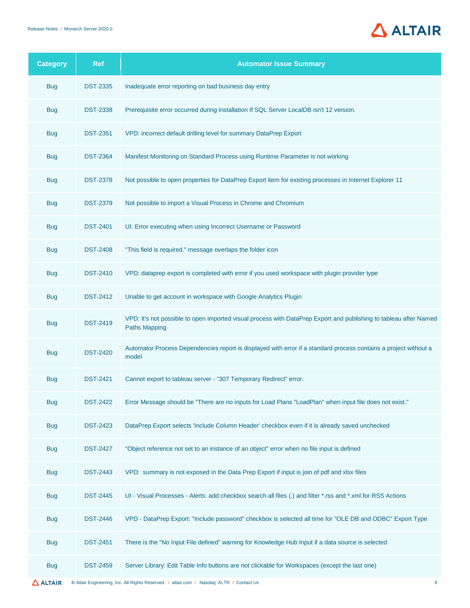

| <b>Category</b> | <b>Ref</b>      | <b>Automator Issue Summary</b>                                                                                                            |
|-----------------|-----------------|-------------------------------------------------------------------------------------------------------------------------------------------|
| <b>Bug</b>      | <b>DST-2335</b> | Inadequate error reporting on bad business day entry                                                                                      |
| <b>Bug</b>      | <b>DST-2338</b> | Prerequisite error occurred during installation If SQL Server LocalDB isn't 12 version.                                                   |
| <b>Bug</b>      | <b>DST-2351</b> | VPD: incorrect default drilling level for summary DataPrep Export                                                                         |
| <b>Bug</b>      | <b>DST-2364</b> | Manifest Monitoring on Standard Process using Runtime Parameter is not working                                                            |
| <b>Bug</b>      | <b>DST-2378</b> | Not possible to open properties for DataPrep Export item for existing processes in Internet Explorer 11                                   |
| <b>Bug</b>      | <b>DST-2379</b> | Not possible to import a Visual Process in Chrome and Chromium                                                                            |
| <b>Bug</b>      | <b>DST-2401</b> | UI: Error executing when using Incorrect Username or Password                                                                             |
| <b>Bug</b>      | <b>DST-2408</b> | "This field is required." message overlaps the folder icon                                                                                |
| <b>Bug</b>      | <b>DST-2410</b> | VPD: dataprep export is completed with error if you used workspace with plugin provider type                                              |
| <b>Bug</b>      | <b>DST-2412</b> | Unable to get account in workspace with Google Analytics Plugin                                                                           |
| <b>Bug</b>      | <b>DST-2419</b> | VPD: It's not possible to open imported visual process with DataPrep Export and publishing to tableau after Named<br><b>Paths Mapping</b> |
| <b>Bug</b>      | <b>DST-2420</b> | Automator Process Dependencies report is displayed with error if a standard process contains a project without a<br>model                 |
| <b>Bug</b>      | <b>DST-2421</b> | Cannot export to tableau server - "307 Temporary Redirect" error.                                                                         |
| <b>Bug</b>      | <b>DST-2422</b> | Error Message should be "There are no inputs for Load Plans "LoadPlan" when input file does not exist."                                   |
| <b>Bug</b>      | <b>DST-2423</b> | DataPrep Export selects 'Include Column Header' checkbox even if it is already saved unchecked                                            |
| <b>Bug</b>      | <b>DST-2427</b> | "Object reference not set to an instance of an object" error when no file input is defined                                                |
| <b>Bug</b>      | <b>DST-2443</b> | VPD: summary is not exposed in the Data Prep Export if input is join of pdf and xlsx files                                                |
| <b>Bug</b>      | <b>DST-2445</b> | UI - Visual Processes - Alerts: add checkbox search all files (.) and filter *.rss and *.xml for RSS Actions                              |
| <b>Bug</b>      | <b>DST-2446</b> | VPD - DataPrep Export: "Include password" checkbox is selected all time for "OLE DB and ODBC" Export Type                                 |
| <b>Bug</b>      | <b>DST-2451</b> | There is the "No Input File defined" warning for Knowledge Hub Input if a data source is selected                                         |
| <b>Bug</b>      | <b>DST-2459</b> | Server Library: Edit Table Info buttons are not clickable for Workspaces (except the last one)                                            |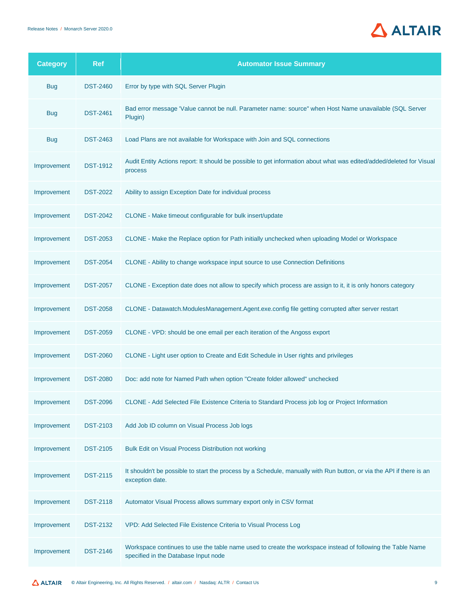

| <b>Category</b> | <b>Ref</b>      | <b>Automator Issue Summary</b>                                                                                                                     |
|-----------------|-----------------|----------------------------------------------------------------------------------------------------------------------------------------------------|
| <b>Bug</b>      | <b>DST-2460</b> | Error by type with SQL Server Plugin                                                                                                               |
| <b>Bug</b>      | <b>DST-2461</b> | Bad error message 'Value cannot be null. Parameter name: source" when Host Name unavailable (SQL Server<br>Plugin)                                 |
| <b>Bug</b>      | <b>DST-2463</b> | Load Plans are not available for Workspace with Join and SQL connections                                                                           |
| Improvement     | <b>DST-1912</b> | Audit Entity Actions report: It should be possible to get information about what was edited/added/deleted for Visual<br>process                    |
| Improvement     | <b>DST-2022</b> | Ability to assign Exception Date for individual process                                                                                            |
| Improvement     | <b>DST-2042</b> | CLONE - Make timeout configurable for bulk insert/update                                                                                           |
| Improvement     | <b>DST-2053</b> | CLONE - Make the Replace option for Path initially unchecked when uploading Model or Workspace                                                     |
| Improvement     | <b>DST-2054</b> | CLONE - Ability to change workspace input source to use Connection Definitions                                                                     |
| Improvement     | <b>DST-2057</b> | CLONE - Exception date does not allow to specify which process are assign to it, it is only honors category                                        |
| Improvement     | <b>DST-2058</b> | CLONE - Datawatch.ModulesManagement.Agent.exe.config file getting corrupted after server restart                                                   |
| Improvement     | <b>DST-2059</b> | CLONE - VPD: should be one email per each iteration of the Angoss export                                                                           |
| Improvement     | <b>DST-2060</b> | CLONE - Light user option to Create and Edit Schedule in User rights and privileges                                                                |
| Improvement     | <b>DST-2080</b> | Doc: add note for Named Path when option "Create folder allowed" unchecked                                                                         |
| Improvement     | <b>DST-2096</b> | CLONE - Add Selected File Existence Criteria to Standard Process job log or Project Information                                                    |
| Improvement     | <b>DST-2103</b> | Add Job ID column on Visual Process Job logs                                                                                                       |
| Improvement     | <b>DST-2105</b> | Bulk Edit on Visual Process Distribution not working                                                                                               |
| Improvement     | <b>DST-2115</b> | It shouldn't be possible to start the process by a Schedule, manually with Run button, or via the API if there is an<br>exception date.            |
| Improvement     | <b>DST-2118</b> | Automator Visual Process allows summary export only in CSV format                                                                                  |
| Improvement     | <b>DST-2132</b> | VPD: Add Selected File Existence Criteria to Visual Process Log                                                                                    |
| Improvement     | <b>DST-2146</b> | Workspace continues to use the table name used to create the workspace instead of following the Table Name<br>specified in the Database Input node |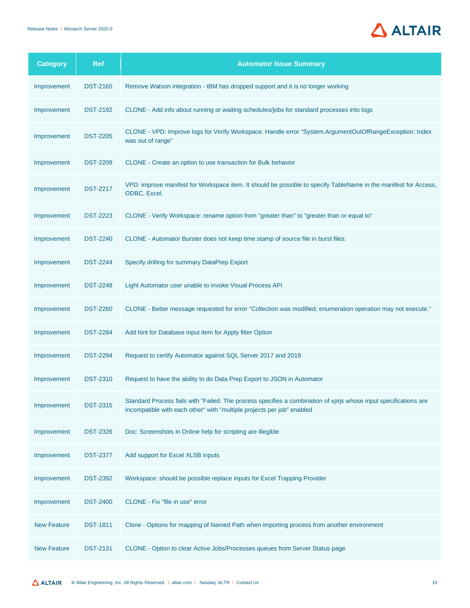

| <b>Category</b>    | <b>Ref</b>      | <b>Automator Issue Summary</b>                                                                                                                                                             |
|--------------------|-----------------|--------------------------------------------------------------------------------------------------------------------------------------------------------------------------------------------|
| Improvement        | <b>DST-2165</b> | Remove Watson integration - IBM has dropped support and it is no longer working                                                                                                            |
| Improvement        | <b>DST-2192</b> | CLONE - Add info about running or waiting schedules/jobs for standard processes into logs                                                                                                  |
| Improvement        | <b>DST-2205</b> | CLONE - VPD: Improve logs for Verify Workspace. Handle error "System.ArgumentOutOfRangeException: Index<br>was out of range"                                                               |
| Improvement        | <b>DST-2209</b> | CLONE - Create an option to use transaction for Bulk behavior                                                                                                                              |
| Improvement        | <b>DST-2217</b> | VPD: improve manifest for Workspace item. It should be possible to specify TableName in the manifest for Access,<br>ODBC, Excel.                                                           |
| Improvement        | <b>DST-2223</b> | CLONE - Verify Workspace: rename option from "greater than" to "greater than or equal to"                                                                                                  |
| Improvement        | <b>DST-2240</b> | CLONE - Automator Burster does not keep time stamp of source file in burst files.                                                                                                          |
| Improvement        | <b>DST-2244</b> | Specify drilling for summary DataPrep Export                                                                                                                                               |
| Improvement        | <b>DST-2248</b> | Light Automator user unable to invoke Visual Process API                                                                                                                                   |
| Improvement        | <b>DST-2260</b> | CLONE - Better message requested for error "Collection was modified; enumeration operation may not execute."                                                                               |
| Improvement        | <b>DST-2284</b> | Add hint for Database input item for Apply filter Option                                                                                                                                   |
| Improvement        | <b>DST-2294</b> | Request to certify Automator against SQL Server 2017 and 2019                                                                                                                              |
| Improvement        | <b>DST-2310</b> | Request to have the ability to do Data Prep Export to JSON in Automator                                                                                                                    |
| Improvement        | <b>DST-2315</b> | Standard Process fails with "Failed: The process specifies a combination of xprjs whose input specifications are<br>incompatible with each other" with "multiple projects per job" enabled |
| Improvement        | <b>DST-2326</b> | Doc: Screenshots in Online help for scripting are illegible                                                                                                                                |
| Improvement        | <b>DST-2377</b> | Add support for Excel XLSB inputs                                                                                                                                                          |
| Improvement        | <b>DST-2392</b> | Workspace: should be possible replace inputs for Excel Trapping Provider                                                                                                                   |
| Improvement        | <b>DST-2400</b> | CLONE - Fix "file in use" error                                                                                                                                                            |
| <b>New Feature</b> | <b>DST-1811</b> | Clone - Options for mapping of Named Path when importing process from another environment                                                                                                  |
| <b>New Feature</b> | <b>DST-2131</b> | CLONE - Option to clear Active Jobs/Processes queues from Server Status page                                                                                                               |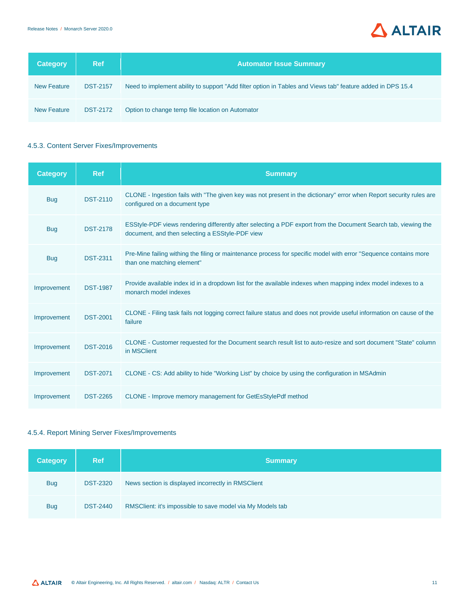

| <b>Category</b>    | <b>Ref</b>      | <b>Automator Issue Summary</b>                                                                             |
|--------------------|-----------------|------------------------------------------------------------------------------------------------------------|
| <b>New Feature</b> | <b>DST-2157</b> | Need to implement ability to support "Add filter option in Tables and Views tab" feature added in DPS 15.4 |
| <b>New Feature</b> | <b>DST-2172</b> | Option to change temp file location on Automator                                                           |

### <span id="page-12-0"></span>4.5.3. Content Server Fixes/Improvements

| <b>Category</b> | <b>Ref</b>      | <b>Summary</b>                                                                                                                                                    |
|-----------------|-----------------|-------------------------------------------------------------------------------------------------------------------------------------------------------------------|
| <b>Bug</b>      | <b>DST-2110</b> | CLONE - Ingestion fails with "The given key was not present in the dictionary" error when Report security rules are<br>configured on a document type              |
| <b>Bug</b>      | <b>DST-2178</b> | ESStyle-PDF views rendering differently after selecting a PDF export from the Document Search tab, viewing the<br>document, and then selecting a ESStyle-PDF view |
| <b>Bug</b>      | <b>DST-2311</b> | Pre-Mine failing withing the filing or maintenance process for specific model with error "Sequence contains more<br>than one matching element"                    |
| Improvement     | <b>DST-1987</b> | Provide available index id in a dropdown list for the available indexes when mapping index model indexes to a<br>monarch model indexes                            |
| Improvement     | <b>DST-2001</b> | CLONE - Filing task fails not logging correct failure status and does not provide useful information on cause of the<br>failure                                   |
| Improvement     | <b>DST-2016</b> | CLONE - Customer requested for the Document search result list to auto-resize and sort document "State" column<br>in MSClient                                     |
| Improvement     | <b>DST-2071</b> | CLONE - CS: Add ability to hide "Working List" by choice by using the configuration in MSAdmin                                                                    |
| Improvement     | <b>DST-2265</b> | CLONE - Improve memory management for GetEsStylePdf method                                                                                                        |

### <span id="page-12-1"></span>4.5.4. Report Mining Server Fixes/Improvements

| <b>Category</b> | <b>Ref</b>      | <b>Summary</b>                                             |
|-----------------|-----------------|------------------------------------------------------------|
| <b>Bug</b>      | <b>DST-2320</b> | News section is displayed incorrectly in RMSClient         |
| <b>Bug</b>      | <b>DST-2440</b> | RMSClient: it's impossible to save model via My Models tab |